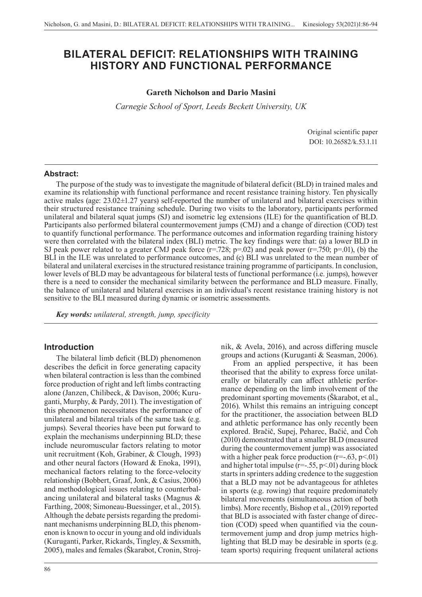# **BILATERAL DEFICIT: RELATIONSHIPS WITH TRAINING HISTORY AND FUNCTIONAL PERFORMANCE**

#### **Gareth Nicholson and Dario Masini**

*Carnegie School of Sport, Leeds Beckett University, UK*

Original scientific paper DOI: 10.26582/k.53.1.11

#### **Abstract:**

The purpose of the study was to investigate the magnitude of bilateral deficit (BLD) in trained males and examine its relationship with functional performance and recent resistance training history. Ten physically active males (age: 23.02±1.27 years) self-reported the number of unilateral and bilateral exercises within their structured resistance training schedule. During two visits to the laboratory, participants performed unilateral and bilateral squat jumps (SJ) and isometric leg extensions (ILE) for the quantification of BLD. Participants also performed bilateral countermovement jumps (CMJ) and a change of direction (COD) test to quantify functional performance. The performance outcomes and information regarding training history were then correlated with the bilateral index (BLI) metric. The key findings were that: (a) a lower BLD in SJ peak power related to a greater CMJ peak force ( $r=.728$ ;  $p=.02$ ) and peak power ( $r=.750$ ;  $p=.01$ ), (b) the BLI in the ILE was unrelated to performance outcomes, and (c) BLI was unrelated to the mean number of bilateral and unilateral exercises in the structured resistance training programme of participants. In conclusion, lower levels of BLD may be advantageous for bilateral tests of functional performance (i.e. jumps), however there is a need to consider the mechanical similarity between the performance and BLD measure. Finally, the balance of unilateral and bilateral exercises in an individual's recent resistance training history is not sensitive to the BLI measured during dynamic or isometric assessments.

*Key words: unilateral, strength, jump, specificity*

### **Introduction**

The bilateral limb deficit (BLD) phenomenon describes the deficit in force generating capacity when bilateral contraction is less than the combined force production of right and left limbs contracting alone (Janzen, Chilibeck, & Davison, 2006; Kuruganti, Murphy, & Pardy, 2011). The investigation of this phenomenon necessitates the performance of unilateral and bilateral trials of the same task (e.g. jumps). Several theories have been put forward to explain the mechanisms underpinning BLD; these include neuromuscular factors relating to motor unit recruitment (Koh, Grabiner, & Clough, 1993) and other neural factors (Howard & Enoka, 1991), mechanical factors relating to the force-velocity relationship (Bobbert, Graaf, Jonk, & Casius, 2006) and methodological issues relating to counterbalancing unilateral and bilateral tasks (Magnus & Farthing, 2008; Simoneau-Buessinger, et al., 2015). Although the debate persists regarding the predominant mechanisms underpinning BLD, this phenomenon is known to occur in young and old individuals (Kuruganti, Parker, Rickards, Tingley, & Sexsmith, 2005), males and females (Škarabot, Cronin, Strojnik, & Avela, 2016), and across differing muscle groups and actions (Kuruganti & Seasman, 2006).

From an applied perspective, it has been theorised that the ability to express force unilaterally or bilaterally can affect athletic performance depending on the limb involvement of the predominant sporting movements (Škarabot, et al., 2016). Whilst this remains an intriguing concept for the practitioner, the association between BLD and athletic performance has only recently been explored. Bračič, Supej, Peharec, Bačić, and Čoh (2010) demonstrated that a smaller BLD (measured during the countermovement jump) was associated with a higher peak force production  $(r=-.63, p<.01)$ and higher total impulse  $(r=-.55, p<.01)$  during block starts in sprinters adding credence to the suggestion that a BLD may not be advantageous for athletes in sports (e.g. rowing) that require predominately bilateral movements (simultaneous action of both limbs). More recently, Bishop et al., (2019) reported that BLD is associated with faster change of direction (COD) speed when quantified via the countermovement jump and drop jump metrics highlighting that BLD may be desirable in sports (e.g. team sports) requiring frequent unilateral actions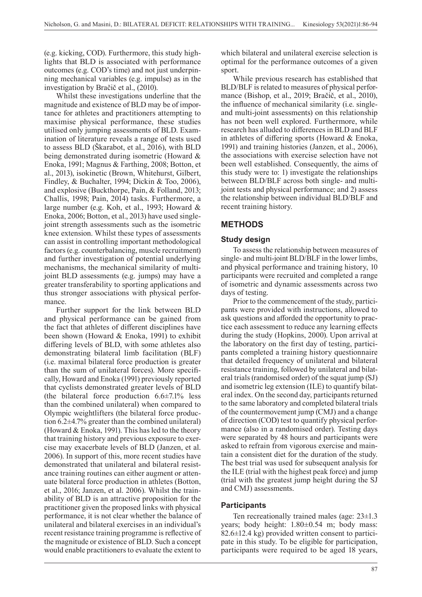(e.g. kicking, COD). Furthermore, this study highlights that BLD is associated with performance outcomes (e.g. COD's time) and not just underpinning mechanical variables (e.g. impulse) as in the investigation by Bračič et al., (2010).

Whilst these investigations underline that the magnitude and existence of BLD may be of importance for athletes and practitioners attempting to maximise physical performance, these studies utilised only jumping assessments of BLD. Examination of literature reveals a range of tests used to assess BLD (Škarabot, et al., 2016), with BLD being demonstrated during isometric (Howard & Enoka, 1991; Magnus & Farthing, 2008; Botton, et al., 2013), isokinetic (Brown, Whitehurst, Gilbert, Findley, & Buchalter, 1994; Dickin & Too, 2006), and explosive (Buckthorpe, Pain, & Folland, 2013; Challis, 1998; Pain, 2014) tasks. Furthermore, a large number (e.g. Koh, et al., 1993; Howard & Enoka, 2006; Botton, et al., 2013) have used singlejoint strength assessments such as the isometric knee extension. Whilst these types of assessments can assist in controlling important methodological factors (e.g. counterbalancing, muscle recruitment) and further investigation of potential underlying mechanisms, the mechanical similarity of multijoint BLD assessments (e.g. jumps) may have a greater transferability to sporting applications and thus stronger associations with physical performance.

Further support for the link between BLD and physical performance can be gained from the fact that athletes of different disciplines have been shown (Howard & Enoka, 1991) to exhibit differing levels of BLD, with some athletes also demonstrating bilateral limb facilitation (BLF) (i.e. maximal bilateral force production is greater than the sum of unilateral forces). More specifically, Howard and Enoka (1991) previously reported that cyclists demonstrated greater levels of BLD (the bilateral force production 6.6±7.1% less than the combined unilateral) when compared to Olympic weightlifters (the bilateral force production 6.2±4.7% greater than the combined unilateral) (Howard & Enoka, 1991). This has led to the theory that training history and previous exposure to exercise may exacerbate levels of BLD (Janzen, et al. 2006). In support of this, more recent studies have demonstrated that unilateral and bilateral resistance training routines can either augment or attenuate bilateral force production in athletes (Botton, et al., 2016; Janzen, et al. 2006). Whilst the trainability of BLD is an attractive proposition for the practitioner given the proposed links with physical performance, it is not clear whether the balance of unilateral and bilateral exercises in an individual's recent resistance training programme is reflective of the magnitude or existence of BLD. Such a concept would enable practitioners to evaluate the extent to

which bilateral and unilateral exercise selection is optimal for the performance outcomes of a given sport.

While previous research has established that BLD/BLF is related to measures of physical performance (Bishop, et al., 2019; Bračič, et al., 2010), the influence of mechanical similarity (i.e. singleand multi-joint assessments) on this relationship has not been well explored. Furthermore, while research has alluded to differences in BLD and BLF in athletes of differing sports (Howard & Enoka, 1991) and training histories (Janzen, et al., 2006), the associations with exercise selection have not been well established. Consequently, the aims of this study were to: 1) investigate the relationships between BLD/BLF across both single- and multijoint tests and physical performance; and 2) assess the relationship between individual BLD/BLF and recent training history.

## **METHODS**

## **Study design**

To assess the relationship between measures of single- and multi-joint BLD/BLF in the lower limbs, and physical performance and training history, 10 participants were recruited and completed a range of isometric and dynamic assessments across two days of testing.

Prior to the commencement of the study, participants were provided with instructions, allowed to ask questions and afforded the opportunity to practice each assessment to reduce any learning effects during the study (Hopkins, 2000). Upon arrival at the laboratory on the first day of testing, participants completed a training history questionnaire that detailed frequency of unilateral and bilateral resistance training, followed by unilateral and bilateral trials (randomised order) of the squat jump (SJ) and isometric leg extension (ILE) to quantify bilateral index. On the second day, participants returned to the same laboratory and completed bilateral trials of the countermovement jump (CMJ) and a change of direction (COD) test to quantify physical performance (also in a randomised order). Testing days were separated by 48 hours and participants were asked to refrain from vigorous exercise and maintain a consistent diet for the duration of the study. The best trial was used for subsequent analysis for the ILE (trial with the highest peak force) and jump (trial with the greatest jump height during the SJ and CMJ) assessments.

## **Participants**

Ten recreationally trained males (age: 23±1.3 years; body height: 1.80±0.54 m; body mass: 82.6±12.4 kg) provided written consent to participate in this study. To be eligible for participation, participants were required to be aged 18 years,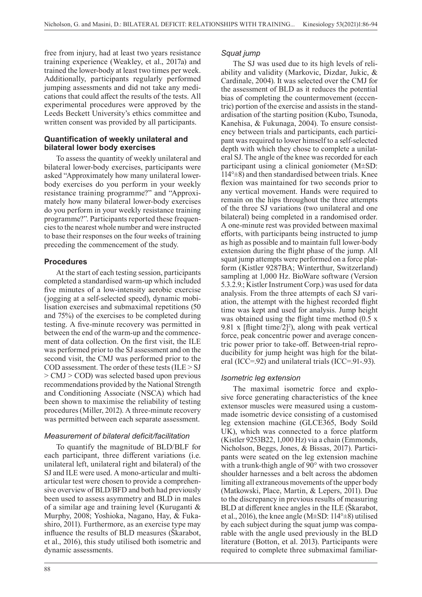free from injury, had at least two years resistance training experience (Weakley, et al., 2017a) and trained the lower-body at least two times per week. Additionally, participants regularly performed jumping assessments and did not take any medications that could affect the results of the tests. All experimental procedures were approved by the Leeds Beckett University's ethics committee and written consent was provided by all participants.

## **Quantification of weekly unilateral and bilateral lower body exercises**

To assess the quantity of weekly unilateral and bilateral lower-body exercises, participants were asked "Approximately how many unilateral lowerbody exercises do you perform in your weekly resistance training programme?" and "Approximately how many bilateral lower-body exercises do you perform in your weekly resistance training programme?". Participants reported these frequencies to the nearest whole number and were instructed to base their responses on the four weeks of training preceding the commencement of the study.

## **Procedures**

At the start of each testing session, participants completed a standardised warm-up which included five minutes of a low-intensity aerobic exercise (jogging at a self-selected speed), dynamic mobilisation exercises and submaximal repetitions (50 and 75%) of the exercises to be completed during testing. A five-minute recovery was permitted in between the end of the warm-up and the commencement of data collection. On the first visit, the ILE was performed prior to the SJ assessment and on the second visit, the CMJ was performed prior to the COD assessment. The order of these tests (ILE > SJ > CMJ > COD) was selected based upon previous recommendations provided by the National Strength and Conditioning Associate (NSCA) which had been shown to maximise the reliability of testing procedures (Miller, 2012). A three-minute recovery was permitted between each separate assessment.

## *Measurement of bilateral deficit/facilitation*

To quantify the magnitude of BLD/BLF for each participant, three different variations (i.e. unilateral left, unilateral right and bilateral) of the SJ and ILE were used. A mono-articular and multiarticular test were chosen to provide a comprehensive overview of BLD/BFD and both had previously been used to assess asymmetry and BLD in males of a similar age and training level (Kuruganti & Murphy, 2008; Yoshioka, Nagano, Hay, & Fukashiro, 2011). Furthermore, as an exercise type may influence the results of BLD measures (Škarabot, et al., 2016), this study utilised both isometric and dynamic assessments.

#### 88

## *Squat jump*

The SJ was used due to its high levels of reliability and validity (Markovic, Dizdar, Jukic, & Cardinale, 2004). It was selected over the CMJ for the assessment of BLD as it reduces the potential bias of completing the countermovement (eccentric) portion of the exercise and assists in the standardisation of the starting position (Kubo, Tsunoda, Kanehisa, & Fukunaga, 2004). To ensure consistency between trials and participants, each participant was required to lower himself to a self-selected depth with which they chose to complete a unilateral SJ. The angle of the knee was recorded for each participant using a clinical goniometer (M±SD:  $114^{\circ}$ ±8) and then standardised between trials. Knee flexion was maintained for two seconds prior to any vertical movement. Hands were required to remain on the hips throughout the three attempts of the three SJ variations (two unilateral and one bilateral) being completed in a randomised order. A one-minute rest was provided between maximal efforts, with participants being instructed to jump as high as possible and to maintain full lower-body extension during the flight phase of the jump. All squat jump attempts were performed on a force platform (Kistler 9287BA; Winterthur, Switzerland) sampling at 1,000 Hz. BioWare software (Version 5.3.2.9.; Kistler Instrument Corp.) was used for data analysis. From the three attempts of each SJ variation, the attempt with the highest recorded flight time was kept and used for analysis. Jump height was obtained using the flight time method (0.5 x 9.81 x [flight time/2]<sup>2</sup>), along with peak vertical force, peak concentric power and average concentric power prior to take-off. Between-trial reproducibility for jump height was high for the bilateral (ICC=.92) and unilateral trials (ICC=.91-.93).

## *Isometric leg extension*

The maximal isometric force and explosive force generating characteristics of the knee extensor muscles were measured using a custommade isometric device consisting of a customised leg extension machine (GLCE365, Body Soild UK), which was connected to a force platform (Kistler 9253B22, 1,000 Hz) via a chain (Emmonds, Nicholson, Beggs, Jones, & Bissas, 2017). Participants were seated on the leg extension machine with a trunk-thigh angle of 90° with two crossover shoulder harnesses and a belt across the abdomen limiting all extraneous movements of the upper body (Matkowski, Place, Martin, & Lepers, 2011). Due to the discrepancy in previous results of measuring BLD at different knee angles in the ILE (Škarabot, et al., 2016), the knee angle (M $\pm$ SD: 114<sup>o</sup> $\pm$ 8) utilised by each subject during the squat jump was comparable with the angle used previously in the BLD literature (Botton, et al. 2013). Participants were required to complete three submaximal familiar-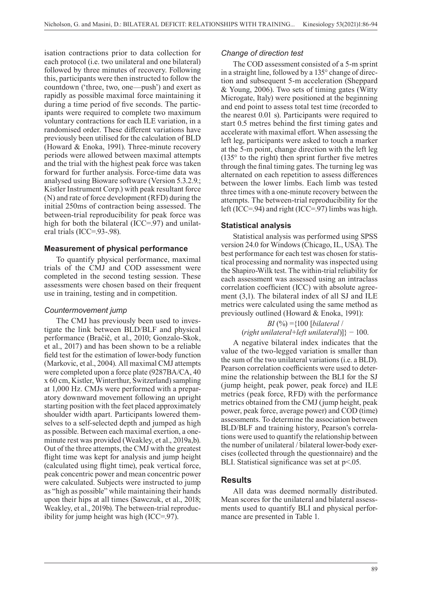isation contractions prior to data collection for each protocol (i.e. two unilateral and one bilateral) followed by three minutes of recovery. Following this, participants were then instructed to follow the countdown ('three, two, one—push') and exert as rapidly as possible maximal force maintaining it during a time period of five seconds. The participants were required to complete two maximum voluntary contractions for each ILE variation, in a randomised order. These different variations have previously been utilised for the calculation of BLD (Howard & Enoka, 1991). Three-minute recovery periods were allowed between maximal attempts and the trial with the highest peak force was taken forward for further analysis. Force-time data was analysed using Bioware software (Version 5.3.2.9.; Kistler Instrument Corp.) with peak resultant force (N) and rate of force development (RFD) during the initial 250ms of contraction being assessed. The between-trial reproducibility for peak force was high for both the bilateral (ICC=.97) and unilateral trials (ICC=.93-.98).

## **Measurement of physical performance**

To quantify physical performance, maximal trials of the CMJ and COD assessment were completed in the second testing session. These assessments were chosen based on their frequent use in training, testing and in competition.

#### *Countermovement jump*

The CMJ has previously been used to investigate the link between BLD/BLF and physical performance (Bračič, et al., 2010; Gonzalo-Skok, et al., 2017) and has been shown to be a reliable field test for the estimation of lower-body function (Markovic, et al., 2004). All maximal CMJ attempts were completed upon a force plate (9287BA/CA, 40 x 60 cm, Kistler, Winterthur, Switzerland) sampling at 1,000 Hz. CMJs were performed with a preparatory downward movement following an upright starting position with the feet placed approximately shoulder width apart. Participants lowered themselves to a self-selected depth and jumped as high as possible. Between each maximal exertion, a oneminute rest was provided (Weakley, et al., 2019a,b). Out of the three attempts, the CMJ with the greatest flight time was kept for analysis and jump height (calculated using flight time), peak vertical force, peak concentric power and mean concentric power were calculated. Subjects were instructed to jump as "high as possible" while maintaining their hands upon their hips at all times (Sawczuk, et al., 2018; Weakley, et al., 2019b). The between-trial reproducibility for jump height was high (ICC=.97).

#### *Change of direction test*

The COD assessment consisted of a 5-m sprint in a straight line, followed by a 135° change of direction and subsequent 5-m acceleration (Sheppard & Young, 2006). Two sets of timing gates (Witty Microgate, Italy) were positioned at the beginning and end point to assess total test time (recorded to the nearest 0.01 s). Participants were required to start 0.5 metres behind the first timing gates and accelerate with maximal effort. When assessing the left leg, participants were asked to touch a marker at the 5-m point, change direction with the left leg  $(135<sup>°</sup>$  to the right) then sprint further five metres through the final timing gates. The turning leg was alternated on each repetition to assess differences between the lower limbs. Each limb was tested three times with a one-minute recovery between the attempts. The between-trial reproducibility for the left (ICC=.94) and right (ICC=.97) limbs was high.

#### **Statistical analysis**

Statistical analysis was performed using SPSS version 24.0 for Windows (Chicago, IL, USA). The best performance for each test was chosen for statistical processing and normality was inspected using the Shapiro-Wilk test. The within-trial reliability for each assessment was assessed using an intraclass correlation coefficient (ICC) with absolute agreement (3,1). The bilateral index of all SJ and ILE metrics were calculated using the same method as previously outlined (Howard & Enoka, 1991):

#### *BI* (%) ={100 [*bilateral* / (*right unilateral+left unilateral*)]} − 100.

A negative bilateral index indicates that the value of the two-legged variation is smaller than the sum of the two unilateral variations (i.e. a BLD). Pearson correlation coefficients were used to determine the relationship between the BLI for the SJ (jump height, peak power, peak force) and ILE metrics (peak force, RFD) with the performance metrics obtained from the CMJ (jump height, peak power, peak force, average power) and COD (time) assessments. To determine the association between BLD/BLF and training history, Pearson's correlations were used to quantify the relationship between the number of unilateral / bilateral lower-body exercises (collected through the questionnaire) and the BLI. Statistical significance was set at p<.05.

## **Results**

All data was deemed normally distributed. Mean scores for the unilateral and bilateral assessments used to quantify BLI and physical performance are presented in Table 1.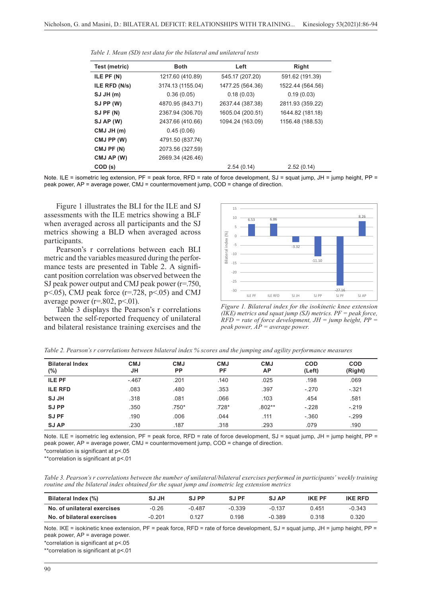| Test (metric) | <b>Both</b>       | Left             | Right            |  |
|---------------|-------------------|------------------|------------------|--|
| ILE PF (N)    | 1217.60 (410.89)  | 545.17 (207.20)  | 591.62 (191.39)  |  |
| ILE RFD (N/s) | 3174.13 (1155.04) | 1477.25 (564.36) | 1522.44 (564.56) |  |
| SJJH(m)       | 0.36(0.05)        | 0.18(0.03)       | 0.19(0.03)       |  |
| SJ PP (W)     | 4870.95 (843.71)  | 2637.44 (387.38) | 2811.93 (359.22) |  |
| SJ PF (N)     | 2367.94 (306.70)  | 1605.04 (200.51) | 1644.82 (181.18) |  |
| SJ AP (W)     | 2437.66 (410.66)  | 1094.24 (163.09) | 1156.48 (188.53) |  |
| CMJ JH (m)    | 0.45(0.06)        |                  |                  |  |
| CMJ PP (W)    | 4791.50 (837.74)  |                  |                  |  |
| CMJ PF (N)    | 2073.56 (327.59)  |                  |                  |  |
| CMJ AP (W)    | 2669.34 (426.46)  |                  |                  |  |
| COD (s)       |                   | 2.54(0.14)       | 2.52(0.14)       |  |

*Table 1. Mean (SD) test data for the bilateral and unilateral tests*

Note. ILE = isometric leg extension, PF = peak force, RFD = rate of force development, SJ = squat jump, JH = jump height, PP = peak power, AP = average power, CMJ = countermovement jump, COD = change of direction.

Figure 1 illustrates the BLI for the ILE and SJ assessments with the ILE metrics showing a BLF when averaged across all participants and the SJ metrics showing a BLD when averaged across participants.

Pearson's r correlations between each BLI metric and the variables measured during the performance tests are presented in Table 2. A significant position correlation was observed between the SJ peak power output and CMJ peak power (r=.750, p $\leq$ .05), CMJ peak force (r=.728, p $\leq$ .05) and CMJ average power ( $r=.802$ ,  $p<.01$ ).

Table 3 displays the Pearson's r correlations between the self-reported frequency of unilateral and bilateral resistance training exercises and the



Figure 1. Bilateral index for the isokinetic knee extension (IKE) metrics and squat jump *(IKE) metrics and squat jump (SJ) metrics. PF = peak force,*   $RFD = rate of force development, JH = jump height, PP =$ *Figure 1. Bilateral index for the isokinetic knee extension peak power,*  $\overrightarrow{AP}$  *= average power.* 

| <b>Bilateral Index</b><br>$(\%)$ | <b>CMJ</b><br>JН | <b>CMJ</b><br><b>PP</b> | <b>CMJ</b><br><b>PF</b> | <b>CMJ</b><br>АP | <b>COD</b><br>(Left) | <b>COD</b><br>(Right) |
|----------------------------------|------------------|-------------------------|-------------------------|------------------|----------------------|-----------------------|
| <b>ILE PF</b>                    | $-.467$          | .201                    | .140                    | .025             | .198                 | .069                  |
| <b>ILE RFD</b>                   | .083             | .480                    | .353                    | .397             | $-.270$              | $-.321$               |
| <b>SJ JH</b>                     | .318             | .081                    | .066                    | .103             | .454                 | .581                  |
| <b>SJPP</b>                      | .350             | $.750*$                 | .728*                   | $.802**$         | $-.228$              | $-.219$               |
| <b>SJPF</b>                      | .190             | .006                    | .044                    | .111             | $-0.360$             | $-.299$               |
| <b>SJAP</b>                      | .230             | .187                    | .318                    | .293             | .079                 | .190                  |

*Table 2. Pearson's r correlations between bilateral index % scores and the jumping and agility performance measures*

Note. ILE = isometric leg extension, PF = peak force, RFD = rate of force development, SJ = squat jump, JH = jump height, PP = peak power, AP = average power, CMJ = countermovement jump, COD = change of direction.

\*correlation is significant at p<.05

\*\*correlation is significant at p<.01

*Table 3. Pearson's r correlations between the number of unilateral/bilateral exercises performed in participants' weekly training routine and the bilateral index obtained for the squat jump and isometric leg extension metrics*

| Bilateral Index (%)         | <b>SJJH</b> | SJ PP    | SJ PF    | <b>SJAP</b> | <b>IKF PF</b> | <b>IKE RFD</b> |
|-----------------------------|-------------|----------|----------|-------------|---------------|----------------|
| No. of unilateral exercises | $-0.26$     | $-0.487$ | $-0.339$ | $-0.137$    | 0.451         | $-0.343$       |
| No. of bilateral exercises  | $-0.201$    | 0.127    | 0.198    | $-0.389$    | 0.318         | 0.320          |

Note. IKE = isokinetic knee extension, PF = peak force, RFD = rate of force development, SJ = squat jump, JH = jump height, PP = peak power, AP = average power.

\*correlation is significant at p<.05

\*\*correlation is significant at p<.01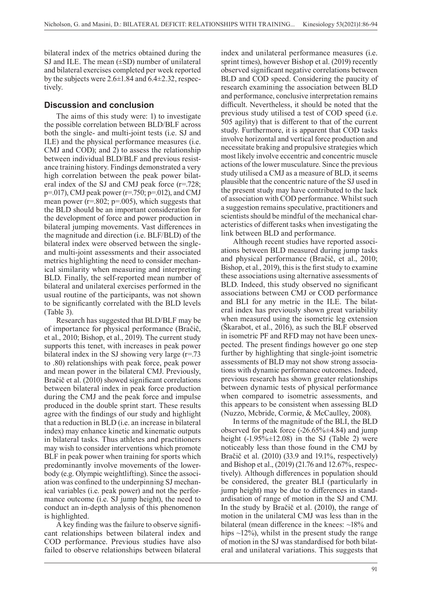bilateral index of the metrics obtained during the SJ and ILE. The mean  $(\pm SD)$  number of unilateral and bilateral exercises completed per week reported by the subjects were 2.6±1.84 and 6.4±2.32, respectively.

## **Discussion and conclusion**

The aims of this study were: 1) to investigate the possible correlation between BLD/BLF across both the single- and multi-joint tests (i.e. SJ and ILE) and the physical performance measures (i.e. CMJ and COD); and 2) to assess the relationship between individual BLD/BLF and previous resistance training history. Findings demonstrated a very high correlation between the peak power bilateral index of the SJ and CMJ peak force (r=.728;  $p=017$ ), CMJ peak power (r=.750;  $p=012$ ), and CMJ mean power ( $r=.802$ ;  $p=.005$ ), which suggests that the BLD should be an important consideration for the development of force and power production in bilateral jumping movements. Vast differences in the magnitude and direction (i.e. BLF/BLD) of the bilateral index were observed between the singleand multi-joint assessments and their associated metrics highlighting the need to consider mechanical similarity when measuring and interpreting BLD. Finally, the self-reported mean number of bilateral and unilateral exercises performed in the usual routine of the participants, was not shown to be significantly correlated with the BLD levels (Table 3).

Research has suggested that BLD/BLF may be of importance for physical performance (Bračič, et al., 2010; Bishop, et al., 2019). The current study supports this tenet, with increases in peak power bilateral index in the SJ showing very large  $(r=73)$ to .80) relationships with peak force, peak power and mean power in the bilateral CMJ. Previously, Bračič et al. (2010) showed significant correlations between bilateral index in peak force production during the CMJ and the peak force and impulse produced in the double sprint start. These results agree with the findings of our study and highlight that a reduction in BLD (i.e. an increase in bilateral index) may enhance kinetic and kinematic outputs in bilateral tasks. Thus athletes and practitioners may wish to consider interventions which promote BLF in peak power when training for sports which predominantly involve movements of the lowerbody (e.g. Olympic weightlifting). Since the association was confined to the underpinning SJ mechanical variables (i.e. peak power) and not the performance outcome (i.e. SJ jump height), the need to conduct an in-depth analysis of this phenomenon is highlighted.

A key finding was the failure to observe significant relationships between bilateral index and COD performance. Previous studies have also failed to observe relationships between bilateral index and unilateral performance measures (i.e. sprint times), however Bishop et al. (2019) recently observed significant negative correlations between BLD and COD speed. Considering the paucity of research examining the association between BLD and performance, conclusive interpretation remains difficult. Nevertheless, it should be noted that the previous study utilised a test of COD speed (i.e. 505 agility) that is different to that of the current study. Furthermore, it is apparent that COD tasks involve horizontal and vertical force production and necessitate braking and propulsive strategies which most likely involve eccentric and concentric muscle actions of the lower musculature. Since the previous study utilised a CMJ as a measure of BLD, it seems plausible that the concentric nature of the SJ used in the present study may have contributed to the lack of association with COD performance. Whilst such a suggestion remains speculative, practitioners and scientists should be mindful of the mechanical characteristics of different tasks when investigating the link between BLD and performance.

Although recent studies have reported associations between BLD measured during jump tasks and physical performance (Bračič, et al., 2010; Bishop, et al., 2019), this is the first study to examine these associations using alternative assessments of BLD. Indeed, this study observed no significant associations between CMJ or COD performance and BLI for any metric in the ILE. The bilateral index has previously shown great variability when measured using the isometric leg extension (Škarabot, et al., 2016), as such the BLF observed in isometric PF and RFD may not have been unexpected. The present findings however go one step further by highlighting that single-joint isometric assessments of BLD may not show strong associations with dynamic performance outcomes. Indeed, previous research has shown greater relationships between dynamic tests of physical performance when compared to isometric assessments, and this appears to be consistent when assessing BLD (Nuzzo, Mcbride, Cormie, & McCaulley, 2008).

In terms of the magnitude of the BLI, the BLD observed for peak force  $(-26.65\% \pm 4.84)$  and jump height  $(-1.95\% \pm 12.08)$  in the SJ (Table 2) were noticeably less than those found in the CMJ by Bračič et al. (2010) (33.9 and 19.1%, respectively) and Bishop et al., (2019) (21.76 and 12.67%, respectively). Although differences in population should be considered, the greater BLI (particularly in jump height) may be due to differences in standardisation of range of motion in the SJ and CMJ. In the study by Bračič et al. (2010), the range of motion in the unilateral CMJ was less than in the bilateral (mean difference in the knees: ~18% and hips  $\sim$ 12%), whilst in the present study the range of motion in the SJ was standardised for both bilateral and unilateral variations. This suggests that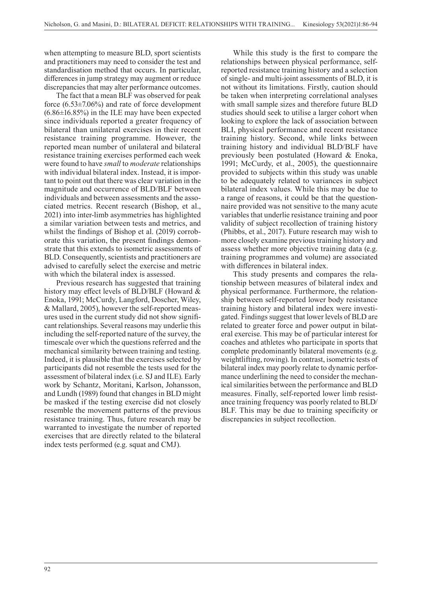when attempting to measure BLD, sport scientists and practitioners may need to consider the test and standardisation method that occurs. In particular, differences in jump strategy may augment or reduce discrepancies that may alter performance outcomes.

The fact that a mean BLF was observed for peak force (6.53±7.06%) and rate of force development (6.86±16.85%) in the ILE may have been expected since individuals reported a greater frequency of bilateral than unilateral exercises in their recent resistance training programme. However, the reported mean number of unilateral and bilateral resistance training exercises performed each week were found to have *small* to *moderate* relationships with individual bilateral index. Instead, it is important to point out that there was clear variation in the magnitude and occurrence of BLD/BLF between individuals and between assessments and the associated metrics. Recent research (Bishop, et al., 2021) into inter-limb asymmetries has highlighted a similar variation between tests and metrics, and whilst the findings of Bishop et al. (2019) corroborate this variation, the present findings demonstrate that this extends to isometric assessments of BLD. Consequently, scientists and practitioners are advised to carefully select the exercise and metric with which the bilateral index is assessed.

Previous research has suggested that training history may effect levels of BLD/BLF (Howard & Enoka, 1991; McCurdy, Langford, Doscher, Wiley, & Mallard, 2005), however the self-reported measures used in the current study did not show significant relationships. Several reasons may underlie this including the self-reported nature of the survey, the timescale over which the questions referred and the mechanical similarity between training and testing. Indeed, it is plausible that the exercises selected by participants did not resemble the tests used for the assessment of bilateral index (i.e. SJ and ILE). Early work by Schantz, Moritani, Karlson, Johansson, and Lundh (1989) found that changes in BLD might be masked if the testing exercise did not closely resemble the movement patterns of the previous resistance training. Thus, future research may be warranted to investigate the number of reported exercises that are directly related to the bilateral index tests performed (e.g. squat and CMJ).

While this study is the first to compare the relationships between physical performance, selfreported resistance training history and a selection of single- and multi-joint assessments of BLD, it is not without its limitations. Firstly, caution should be taken when interpreting correlational analyses with small sample sizes and therefore future BLD studies should seek to utilise a larger cohort when looking to explore the lack of association between BLI, physical performance and recent resistance training history. Second, while links between training history and individual BLD/BLF have previously been postulated (Howard & Enoka, 1991; McCurdy, et al., 2005), the questionnaire provided to subjects within this study was unable to be adequately related to variances in subject bilateral index values. While this may be due to a range of reasons, it could be that the questionnaire provided was not sensitive to the many acute variables that underlie resistance training and poor validity of subject recollection of training history (Phibbs, et al., 2017). Future research may wish to more closely examine previous training history and assess whether more objective training data (e.g. training programmes and volume) are associated with differences in bilateral index.

This study presents and compares the relationship between measures of bilateral index and physical performance. Furthermore, the relationship between self-reported lower body resistance training history and bilateral index were investigated. Findings suggest that lower levels of BLD are related to greater force and power output in bilateral exercise. This may be of particular interest for coaches and athletes who participate in sports that complete predominantly bilateral movements (e.g. weightlifting, rowing). In contrast, isometric tests of bilateral index may poorly relate to dynamic performance underlining the need to consider the mechanical similarities between the performance and BLD measures. Finally, self-reported lower limb resistance training frequency was poorly related to BLD/ BLF. This may be due to training specificity or discrepancies in subject recollection.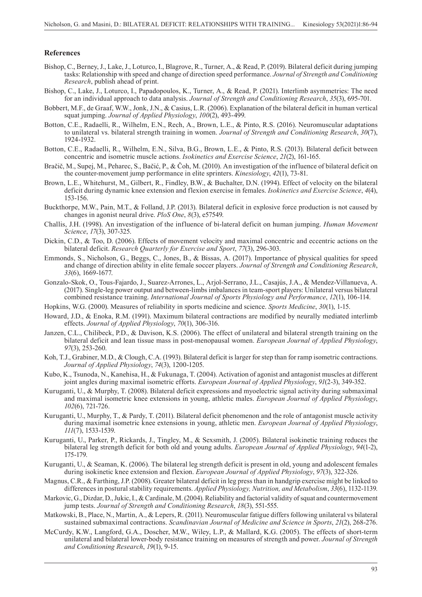#### **References**

- Bishop, C., Berney, J., Lake, J., Loturco, I., Blagrove, R., Turner, A., & Read, P. (2019). Bilateral deficit during jumping tasks: Relationship with speed and change of direction speed performance. *Journal of Strength and Conditioning Research*, publish ahead of print.
- Bishop, C., Lake, J., Loturco, I., Papadopoulos, K., Turner, A., & Read, P. (2021). Interlimb asymmetries: The need for an individual approach to data analysis. *Journal of Strength and Conditioning Research*, *35*(3), 695-701.
- Bobbert, M.F., de Graaf, W.W., Jonk, J.N., & Casius, L.R. (2006). Explanation of the bilateral deficit in human vertical squat jumping. *Journal of Applied Physiology*, *100*(2), 493-499.
- Botton, C.E., Radaelli, R., Wilhelm, E.N., Rech, A., Brown, L.E., & Pinto, R.S. (2016). Neuromuscular adaptations to unilateral vs. bilateral strength training in women. *Journal of Strength and Conditioning Research*, *30*(7), 1924-1932.
- Botton, C.E., Radaelli, R., Wilhelm, E.N., Silva, B.G., Brown, L.E., & Pinto, R.S. (2013). Bilateral deficit between concentric and isometric muscle actions. *Isokinetics and Exercise Science*, *21*(2), 161-165.
- Bračič, M., Supej, M., Peharec, S., Bačić, P., & Čoh, M. (2010). An investigation of the influence of bilateral deficit on the counter-movement jump performance in elite sprinters. *Kinesiology*, *42*(1), 73-81.
- Brown, L.E., Whitehurst, M., Gilbert, R., Findley, B.W., & Buchalter, D.N. (1994). Effect of velocity on the bilateral deficit during dynamic knee extension and flexion exercise in females. *Isokinetics and Exercise Science*, *4*(4), 153-156.
- Buckthorpe, M.W., Pain, M.T., & Folland, J.P. (2013). Bilateral deficit in explosive force production is not caused by changes in agonist neural drive. *PloS One*, *8*(3), e57549.
- Challis, J.H. (1998). An investigation of the influence of bi-lateral deficit on human jumping. *Human Movement Science*, *17*(3), 307-325.
- Dickin, C.D., & Too, D. (2006). Effects of movement velocity and maximal concentric and eccentric actions on the bilateral deficit. *Research Quarterly for Exercise and Sport*, *77*(3), 296-303.
- Emmonds, S., Nicholson, G., Beggs, C., Jones, B., & Bissas, A. (2017). Importance of physical qualities for speed and change of direction ability in elite female soccer players. *Journal of Strength and Conditioning Research*, *33*(6), 1669-1677.
- Gonzalo-Skok, O., Tous-Fajardo, J., Suarez-Arrones, L., Arjol-Serrano, J.L., Casajús, J.A., & Mendez-Villanueva, A. (2017). Single-leg power output and between-limbs imbalances in team-sport players: Unilateral versus bilateral combined resistance training. *International Journal of Sports Physiology and Performance*, *12*(1), 106-114.
- Hopkins, W.G. (2000). Measures of reliability in sports medicine and science. *Sports Medicine*, *30*(1), 1-15.
- Howard, J.D., & Enoka, R.M. (1991). Maximum bilateral contractions are modified by neurally mediated interlimb effects. *Journal of Applied Physiology*, *70*(1), 306-316.
- Janzen, C.L., Chilibeck, P.D., & Davison, K.S. (2006). The effect of unilateral and bilateral strength training on the bilateral deficit and lean tissue mass in post-menopausal women. *European Journal of Applied Physiology*, *97*(3), 253-260.
- Koh, T.J., Grabiner, M.D., & Clough, C.A. (1993). Bilateral deficit is larger for step than for ramp isometric contractions. *Journal of Applied Physiology*, *74*(3), 1200-1205.
- Kubo, K., Tsunoda, N., Kanehisa, H., & Fukunaga, T. (2004). Activation of agonist and antagonist muscles at different joint angles during maximal isometric efforts. *European Journal of Applied Physiology*, *91*(2-3), 349-352.
- Kuruganti, U., & Murphy, T. (2008). Bilateral deficit expressions and myoelectric signal activity during submaximal and maximal isometric knee extensions in young, athletic males. *European Journal of Applied Physiology*, *102*(6), 721-726.
- Kuruganti, U., Murphy, T., & Pardy, T. (2011). Bilateral deficit phenomenon and the role of antagonist muscle activity during maximal isometric knee extensions in young, athletic men. *European Journal of Applied Physiology*, *111*(7), 1533-1539.
- Kuruganti, U., Parker, P., Rickards, J., Tingley, M., & Sexsmith, J. (2005). Bilateral isokinetic training reduces the bilateral leg strength deficit for both old and young adults. *European Journal of Applied Physiology*, *94*(1-2), 175-179.
- Kuruganti, U., & Seaman, K. (2006). The bilateral leg strength deficit is present in old, young and adolescent females during isokinetic knee extension and flexion. *European Journal of Applied Physiology*, *97*(3), 322-326.
- Magnus, C.R., & Farthing, J.P. (2008). Greater bilateral deficit in leg press than in handgrip exercise might be linked to differences in postural stability requirements. *Applied Physiology, Nutrition, and Metabolism*, *33*(6), 1132-1139.
- Markovic, G., Dizdar, D., Jukic, I., & Cardinale, M. (2004). Reliability and factorial validity of squat and countermovement jump tests. *Journal of Strength and Conditioning Research*, *18*(3), 551-555.
- Matkowski, B., Place, N., Martin, A., & Lepers, R. (2011). Neuromuscular fatigue differs following unilateral vs bilateral sustained submaximal contractions. *Scandinavian Journal of Medicine and Science in Sports*, *21*(2), 268-276.
- McCurdy, K.W., Langford, G.A., Doscher, M.W., Wiley, L.P., & Mallard, K.G. (2005). The effects of short-term unilateral and bilateral lower-body resistance training on measures of strength and power. *Journal of Strength and Conditioning Research*, *19*(1), 9-15.